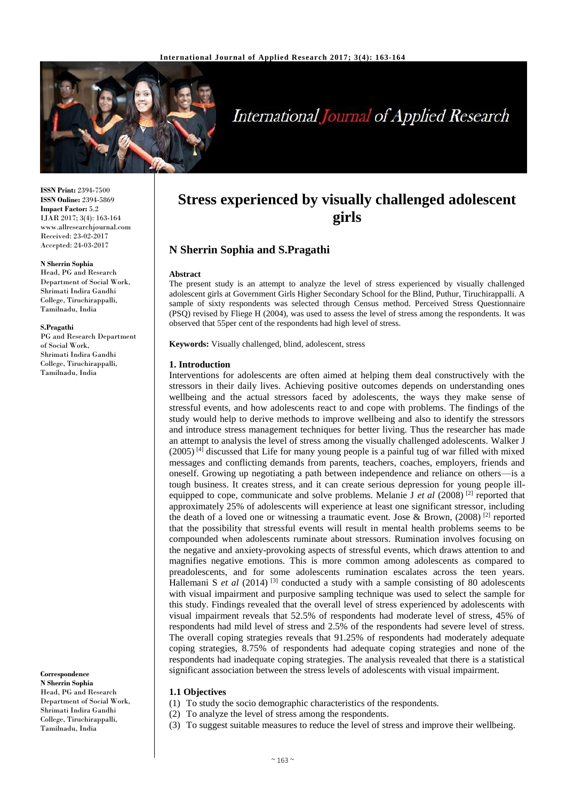

# **International Journal of Applied Research**

**ISSN Print:** 2394-7500 **ISSN Online:** 2394-5869 **Impact Factor:** 5.2 IJAR 2017; 3(4): 163-164 www.allresearchjournal.com Received: 23-02-2017 Accepted: 24-03-2017

#### **N Sherrin Sophia**

Head, PG and Research Department of Social Work, Shrimati Indira Gandhi College, Tiruchirappalli, Tamilnadu, India

#### **S.Pragathi**

PG and Research Department of Social Work, Shrimati Indira Gandhi College, Tiruchirappalli, Tamilnadu, India

**Correspondence N Sherrin Sophia** Head, PG and Research Department of Social Work, Shrimati Indira Gandhi College, Tiruchirappalli, Tamilnadu, India

## **Stress experienced by visually challenged adolescent girls**

## **N Sherrin Sophia and S.Pragathi**

#### **Abstract**

The present study is an attempt to analyze the level of stress experienced by visually challenged adolescent girls at Government Girls Higher Secondary School for the Blind, Puthur, Tiruchirappalli. A sample of sixty respondents was selected through Census method. Perceived Stress Questionnaire (PSQ) revised by Fliege H (2004), was used to assess the level of stress among the respondents. It was observed that 55per cent of the respondents had high level of stress.

**Keywords:** Visually challenged, blind, adolescent, stress

#### **1. Introduction**

Interventions for adolescents are often aimed at helping them deal constructively with the stressors in their daily lives. Achieving positive outcomes depends on understanding ones wellbeing and the actual stressors faced by adolescents, the ways they make sense of stressful events, and how adolescents react to and cope with problems. The findings of the study would help to derive methods to improve wellbeing and also to identify the stressors and introduce stress management techniques for better living. Thus the researcher has made an attempt to analysis the level of stress among the visually challenged adolescents. Walker J  $(2005)^{[4]}$  discussed that Life for many young people is a painful tug of war filled with mixed messages and conflicting demands from parents, teachers, coaches, employers, friends and oneself. Growing up negotiating a path between independence and reliance on others—is a tough business. It creates stress, and it can create serious depression for young people illequipped to cope, communicate and solve problems. Melanie J *et al* (2008)<sup>[2]</sup> reported that approximately 25% of adolescents will experience at least one significant stressor, including the death of a loved one or witnessing a traumatic event. Jose & Brown,  $(2008)^{[2]}$  reported that the possibility that stressful events will result in mental health problems seems to be compounded when adolescents ruminate about stressors. Rumination involves focusing on the negative and anxiety-provoking aspects of stressful events, which draws attention to and magnifies negative emotions. This is more common among adolescents as compared to preadolescents, and for some adolescents rumination escalates across the teen years. Hallemani S et al (2014)<sup>[3]</sup> conducted a study with a sample consisting of 80 adolescents with visual impairment and purposive sampling technique was used to select the sample for this study. Findings revealed that the overall level of stress experienced by adolescents with visual impairment reveals that 52.5% of respondents had moderate level of stress, 45% of respondents had mild level of stress and 2.5% of the respondents had severe level of stress. The overall coping strategies reveals that 91.25% of respondents had moderately adequate coping strategies, 8.75% of respondents had adequate coping strategies and none of the respondents had inadequate coping strategies. The analysis revealed that there is a statistical significant association between the stress levels of adolescents with visual impairment.

## **1.1 Objectives**

- (1) To study the socio demographic characteristics of the respondents.
- (2) To analyze the level of stress among the respondents.
- (3) To suggest suitable measures to reduce the level of stress and improve their wellbeing.